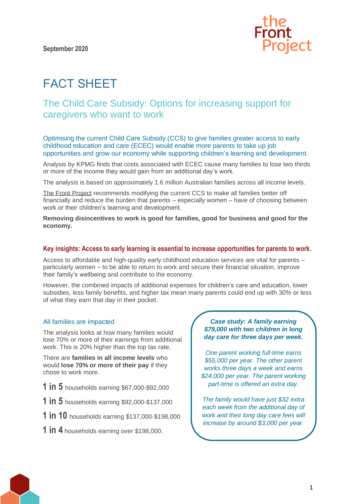

# FACT SHEET

# The Child Care Subsidy: Options for increasing support for caregivers who want to work

Optimising the current Child Care Subsidy (CCS) to give families greater access to early childhood education and care (ECEC) would enable more parents to take up job opportunities and grow our economy while supporting children's learning and development.

Analysis by KPMG finds that costs associated with ECEC cause many families to lose two thirds or more of the income they would gain from an additional day's work.

The analysis is based on approximately 1.6 million Australian families across all income levels.

[The Front](https://www.thefrontproject.org.au/) Project recommends modifying the current CCS to make all families better off financially and reduce the burden that parents – especially women – have of choosing between work or their children's learning and development.

**Removing disincentives to work is good for families, good for business and good for the economy.**

#### **Key insights: Access to early learning is essential to increase opportunities for parents to work.**

Access to affordable and high-quality early childhood education services are vital for parents – particularly women – to be able to return to work and secure their financial situation, improve their family's wellbeing and contribute to the economy.

However, the combined impacts of additional expenses for children's care and education, lower subsidies, less family benefits, and higher tax mean many parents could end up with 30% or less of what they earn that day in their pocket.

## All families are impacted

The analysis looks at how many families would lose 70% or more of their earnings from additional work. This is 20% higher than the top tax rate.

There are **families in all income levels** who would **lose 70% or more of their pay** if they chose to work more.

- **1 in 5** households earning \$67,000-\$92,000
- **1 in 5** households earning \$92,000-\$137,000
- **1 in 10** households earning \$137,000-\$198,000
- **1 in 4** households earning over \$198,000.

## *Case study: A family earning \$79,000 with two children in long day care for three days per week.*

*One parent working full-time earns \$55,000 per year. The other parent works three days a week and earns \$24,000 per year. The parent working part-time is offered an extra day.*

*The family would have just \$32 extra each week from the additional day of work and their long day care fees will increase by around \$3,000 per year.*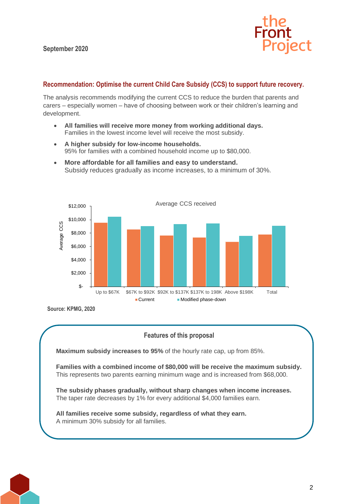

# **Recommendation: Optimise the current Child Care Subsidy (CCS) to support future recovery.**

The analysis recommends modifying the current CCS to reduce the burden that parents and carers – especially women – have of choosing between work or their children's learning and development.

- **All families will receive more money from working additional days.**  Families in the lowest income level will receive the most subsidy.
- **A higher subsidy for low-income households.** 95% for families with a combined household income up to \$80,000.
- **More affordable for all families and easy to understand.**  Subsidy reduces gradually as income increases, to a minimum of 30%.



**Source: KPMG, 2020**

# **Features of this proposal**

**Maximum subsidy increases to 95%** of the hourly rate cap, up from 85%.

**Families with a combined income of \$80,000 will be receive the maximum subsidy.**  This represents two parents earning minimum wage and is increased from \$68,000.

**The subsidy phases gradually, without sharp changes when income increases.** The taper rate decreases by 1% for every additional \$4,000 families earn.

**All families receive some subsidy, regardless of what they earn.**  A minimum 30% subsidy for all families.